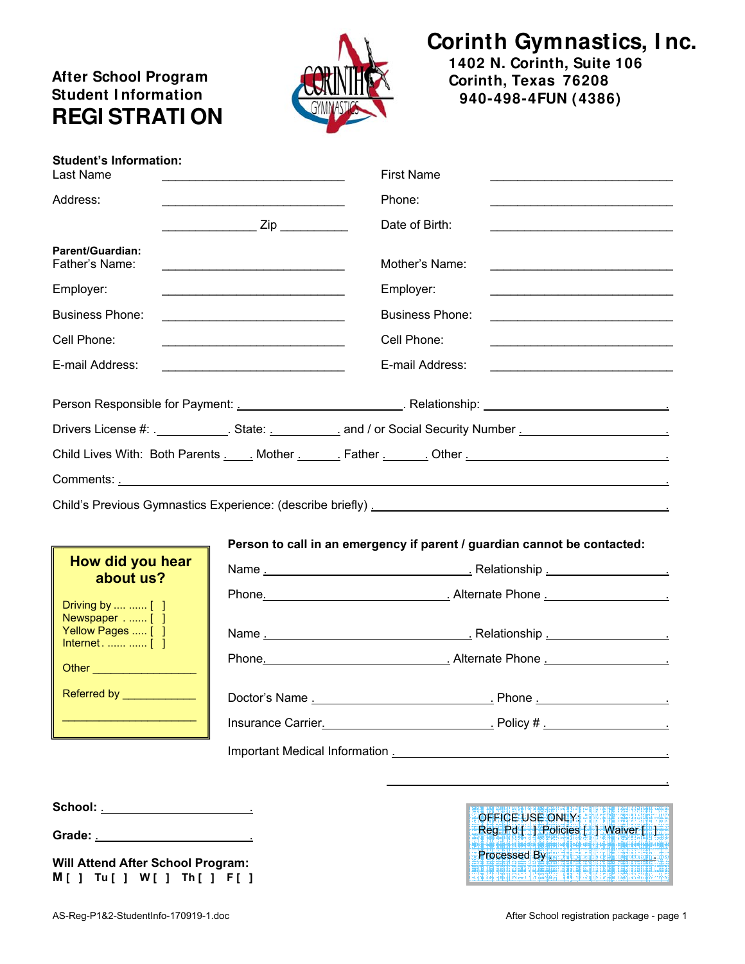# **After School Program Student I nformation REGI STRATI ON**



# **Corinth Gymnastics, I nc.**

**1402 N. Corinth, Suite 106 Corinth, Texas 76208 940-498-4FUN (4386)**

| <b>Student's Information:</b><br>Last Name                                                              |                                                     | <b>First Name</b>                                                                                                   |
|---------------------------------------------------------------------------------------------------------|-----------------------------------------------------|---------------------------------------------------------------------------------------------------------------------|
| Address:                                                                                                |                                                     | Phone:                                                                                                              |
|                                                                                                         |                                                     | Date of Birth:                                                                                                      |
| Parent/Guardian:<br>Father's Name:                                                                      |                                                     | Mother's Name:                                                                                                      |
| Employer:                                                                                               |                                                     | Employer:                                                                                                           |
| <b>Business Phone:</b>                                                                                  | <u> 1989 - Johann Barbara, martxa alemaniar arg</u> | <b>Business Phone:</b><br>the control of the control of the control of the control of the control of the control of |
| Cell Phone:                                                                                             |                                                     | Cell Phone:                                                                                                         |
| E-mail Address:                                                                                         |                                                     | E-mail Address:<br>the control of the control of the control of the control of the control of the control of        |
|                                                                                                         |                                                     |                                                                                                                     |
|                                                                                                         |                                                     |                                                                                                                     |
|                                                                                                         |                                                     | Child Lives With: Both Parents . Nother . Nother . Charles Bother . Cher . Chern Lines Mith: Both Parents . No      |
|                                                                                                         |                                                     |                                                                                                                     |
|                                                                                                         |                                                     |                                                                                                                     |
|                                                                                                         |                                                     | Person to call in an emergency if parent / guardian cannot be contacted:                                            |
| How did you hear<br>about us?                                                                           |                                                     |                                                                                                                     |
|                                                                                                         |                                                     |                                                                                                                     |
| Driving by   [ ]<br>Newspaper [ ]<br>Yellow Pages  [ ]<br>Internet.   [ ]<br>Other ____________________ |                                                     | Phone. 2010 Contract Phone 2010 Contract Phone 2010 Contract Phone 2010 Contract 2010 Contract 2010 Contract 20     |
| Referred by _____________                                                                               |                                                     |                                                                                                                     |
|                                                                                                         |                                                     |                                                                                                                     |

Important Medical Information . .

**School:** . .

**Grade:** . .

|  |  |  | Will Attend After School Program: |  |  |
|--|--|--|-----------------------------------|--|--|
|  |  |  | $M[j]$ Tu[ ] W[ ] Th[ ] F[ ]      |  |  |

| OFFICE USE ONLY:    |                                     |
|---------------------|-------------------------------------|
|                     | Reg. Pd [ ] Policies [ ] Waiver [ ] |
| <b>Processed By</b> |                                     |
|                     |                                     |

.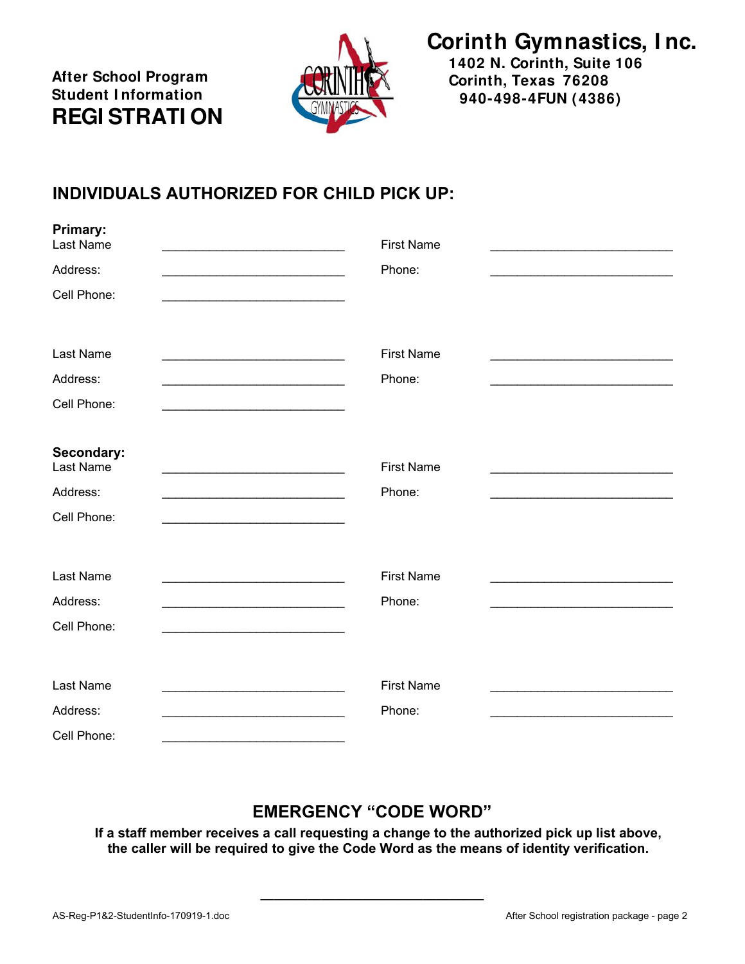**After School Program Student I nformation REGI STRATI ON** 

**Primary:** 



**Corinth Gymnastics, I nc.**

**1402 N. Corinth, Suite 106 Corinth, Texas 76208 940-498-4FUN (4386)**

### **INDIVIDUALS AUTHORIZED FOR CHILD PICK UP:**

| Primary:<br>Last Name                                                                                                                            | <b>First Name</b> |  |
|--------------------------------------------------------------------------------------------------------------------------------------------------|-------------------|--|
| Address:                                                                                                                                         | Phone:            |  |
| Cell Phone:                                                                                                                                      |                   |  |
|                                                                                                                                                  |                   |  |
| Last Name                                                                                                                                        | <b>First Name</b> |  |
| Address:                                                                                                                                         | Phone:            |  |
| Cell Phone:                                                                                                                                      |                   |  |
|                                                                                                                                                  |                   |  |
| Secondary:<br>Last Name<br><u> 1980 - Johann John Barn, mars eta bainar eta industrial eta arteko errestan erroman erroman ez errestan erres</u> | <b>First Name</b> |  |
| Address:<br><u> 1989 - Johann Barn, mars ann an t-Amhainn an t-Amhainn an t-Amhainn an t-Amhainn an t-Amhainn an t-Amhainn an</u>                | Phone:            |  |
| Cell Phone:                                                                                                                                      |                   |  |
|                                                                                                                                                  |                   |  |
| Last Name                                                                                                                                        | <b>First Name</b> |  |
| Address:                                                                                                                                         | Phone:            |  |
| Cell Phone:                                                                                                                                      |                   |  |
|                                                                                                                                                  |                   |  |
| Last Name                                                                                                                                        | <b>First Name</b> |  |
| Address:                                                                                                                                         | Phone:            |  |
| Cell Phone:                                                                                                                                      |                   |  |

#### **EMERGENCY "CODE WORD"**

**If a staff member receives a call requesting a change to the authorized pick up list above, the caller will be required to give the Code Word as the means of identity verification.** 

**\_\_\_\_\_\_\_\_\_\_\_\_\_\_\_\_\_\_\_\_\_\_\_\_\_\_\_\_\_\_\_\_\_**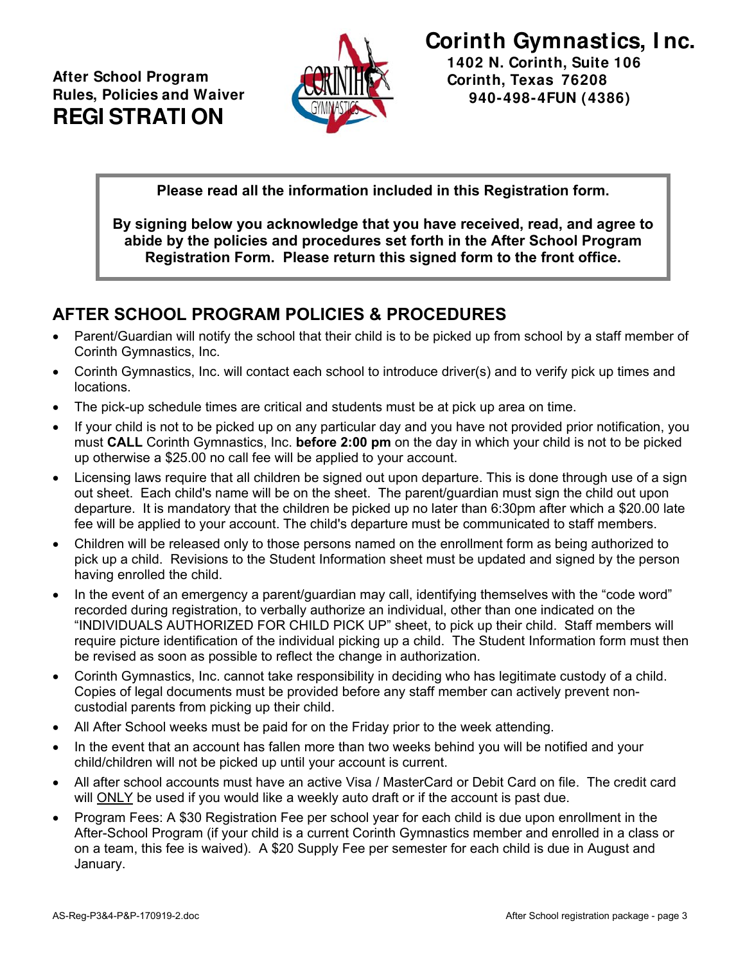

**940-498-4FUN (4386)**

**Please read all the information included in this Registration form.** 

**By signing below you acknowledge that you have received, read, and agree to abide by the policies and procedures set forth in the After School Program Registration Form. Please return this signed form to the front office.** 

#### **AFTER SCHOOL PROGRAM POLICIES & PROCEDURES**

- Parent/Guardian will notify the school that their child is to be picked up from school by a staff member of Corinth Gymnastics, Inc.
- Corinth Gymnastics, Inc. will contact each school to introduce driver(s) and to verify pick up times and locations.
- The pick-up schedule times are critical and students must be at pick up area on time.
- If your child is not to be picked up on any particular day and you have not provided prior notification, you must **CALL** Corinth Gymnastics, Inc. **before 2:00 pm** on the day in which your child is not to be picked up otherwise a \$25.00 no call fee will be applied to your account.
- Licensing laws require that all children be signed out upon departure. This is done through use of a sign out sheet. Each child's name will be on the sheet. The parent/guardian must sign the child out upon departure. It is mandatory that the children be picked up no later than 6:30pm after which a \$20.00 late fee will be applied to your account. The child's departure must be communicated to staff members.
- Children will be released only to those persons named on the enrollment form as being authorized to pick up a child. Revisions to the Student Information sheet must be updated and signed by the person having enrolled the child.
- In the event of an emergency a parent/guardian may call, identifying themselves with the "code word" recorded during registration, to verbally authorize an individual, other than one indicated on the "INDIVIDUALS AUTHORIZED FOR CHILD PICK UP" sheet, to pick up their child. Staff members will require picture identification of the individual picking up a child. The Student Information form must then be revised as soon as possible to reflect the change in authorization.
- Corinth Gymnastics, Inc. cannot take responsibility in deciding who has legitimate custody of a child. Copies of legal documents must be provided before any staff member can actively prevent noncustodial parents from picking up their child.
- All After School weeks must be paid for on the Friday prior to the week attending.
- In the event that an account has fallen more than two weeks behind you will be notified and your child/children will not be picked up until your account is current.
- All after school accounts must have an active Visa / MasterCard or Debit Card on file. The credit card will ONLY be used if you would like a weekly auto draft or if the account is past due.
- Program Fees: A \$30 Registration Fee per school year for each child is due upon enrollment in the After-School Program (if your child is a current Corinth Gymnastics member and enrolled in a class or on a team, this fee is waived). A \$20 Supply Fee per semester for each child is due in August and January.